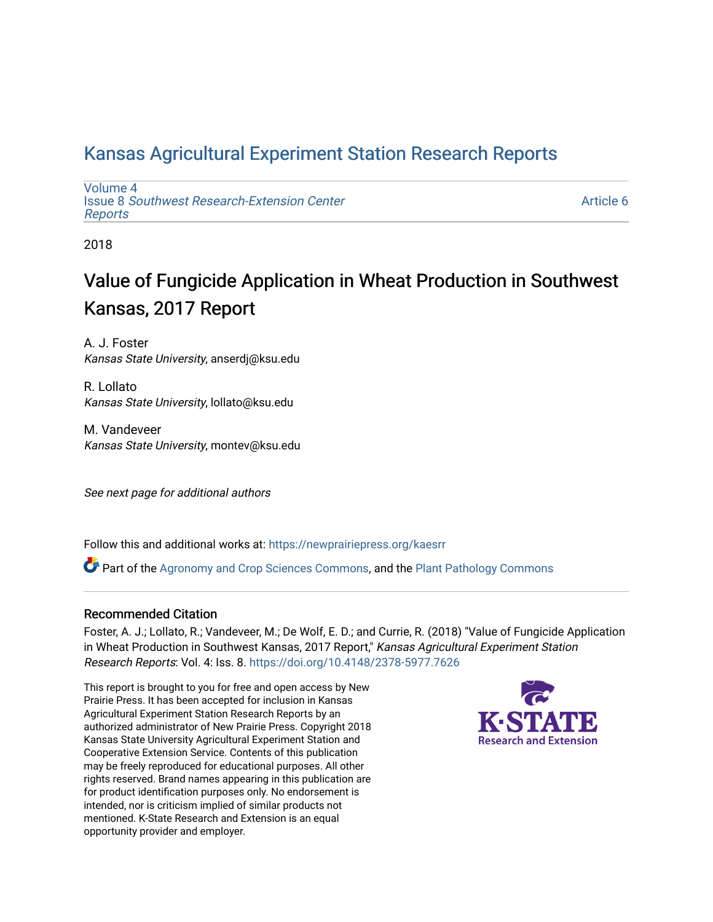# [Kansas Agricultural Experiment Station Research Reports](https://newprairiepress.org/kaesrr)

[Volume 4](https://newprairiepress.org/kaesrr/vol4) Issue 8 [Southwest Research-Extension Center](https://newprairiepress.org/kaesrr/vol4/iss8)  [Reports](https://newprairiepress.org/kaesrr/vol4/iss8)

[Article 6](https://newprairiepress.org/kaesrr/vol4/iss8/6) 

2018

# Value of Fungicide Application in Wheat Production in Southwest Kansas, 2017 Report

A. J. Foster Kansas State University, anserdj@ksu.edu

R. Lollato Kansas State University, lollato@ksu.edu

M. Vandeveer Kansas State University, montev@ksu.edu

See next page for additional authors

Follow this and additional works at: [https://newprairiepress.org/kaesrr](https://newprairiepress.org/kaesrr?utm_source=newprairiepress.org%2Fkaesrr%2Fvol4%2Fiss8%2F6&utm_medium=PDF&utm_campaign=PDFCoverPages) 

Part of the [Agronomy and Crop Sciences Commons,](http://network.bepress.com/hgg/discipline/103?utm_source=newprairiepress.org%2Fkaesrr%2Fvol4%2Fiss8%2F6&utm_medium=PDF&utm_campaign=PDFCoverPages) and the [Plant Pathology Commons](http://network.bepress.com/hgg/discipline/107?utm_source=newprairiepress.org%2Fkaesrr%2Fvol4%2Fiss8%2F6&utm_medium=PDF&utm_campaign=PDFCoverPages) 

#### Recommended Citation

Foster, A. J.; Lollato, R.; Vandeveer, M.; De Wolf, E. D.; and Currie, R. (2018) "Value of Fungicide Application in Wheat Production in Southwest Kansas, 2017 Report," Kansas Agricultural Experiment Station Research Reports: Vol. 4: Iss. 8.<https://doi.org/10.4148/2378-5977.7626>

This report is brought to you for free and open access by New Prairie Press. It has been accepted for inclusion in Kansas Agricultural Experiment Station Research Reports by an authorized administrator of New Prairie Press. Copyright 2018 Kansas State University Agricultural Experiment Station and Cooperative Extension Service. Contents of this publication may be freely reproduced for educational purposes. All other rights reserved. Brand names appearing in this publication are for product identification purposes only. No endorsement is intended, nor is criticism implied of similar products not mentioned. K-State Research and Extension is an equal opportunity provider and employer.

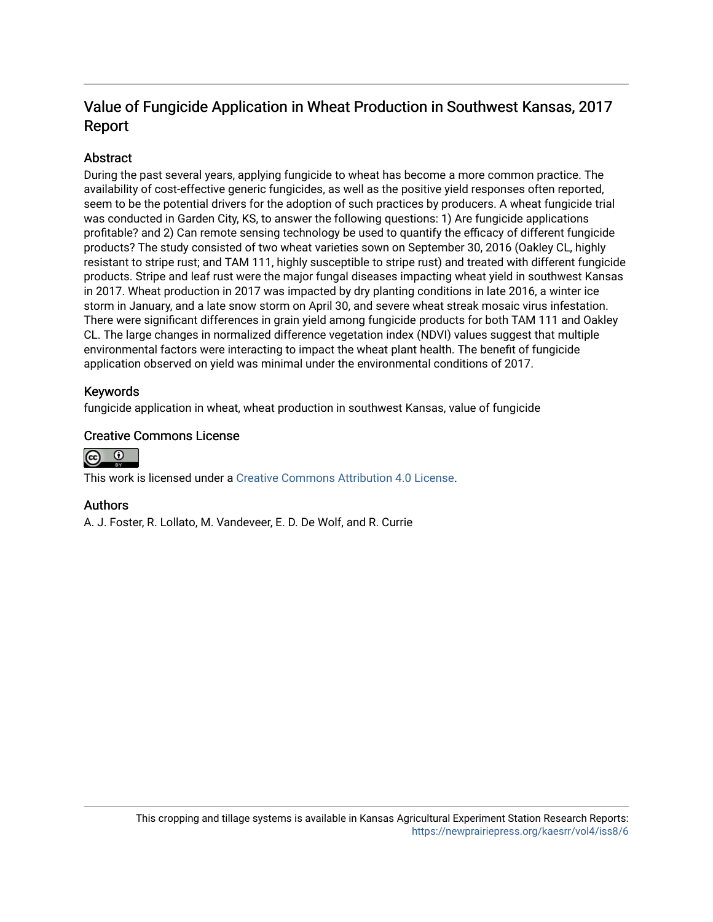# Value of Fungicide Application in Wheat Production in Southwest Kansas, 2017 Report

### **Abstract**

During the past several years, applying fungicide to wheat has become a more common practice. The availability of cost-effective generic fungicides, as well as the positive yield responses often reported, seem to be the potential drivers for the adoption of such practices by producers. A wheat fungicide trial was conducted in Garden City, KS, to answer the following questions: 1) Are fungicide applications profitable? and 2) Can remote sensing technology be used to quantify the efficacy of different fungicide products? The study consisted of two wheat varieties sown on September 30, 2016 (Oakley CL, highly resistant to stripe rust; and TAM 111, highly susceptible to stripe rust) and treated with different fungicide products. Stripe and leaf rust were the major fungal diseases impacting wheat yield in southwest Kansas in 2017. Wheat production in 2017 was impacted by dry planting conditions in late 2016, a winter ice storm in January, and a late snow storm on April 30, and severe wheat streak mosaic virus infestation. There were significant differences in grain yield among fungicide products for both TAM 111 and Oakley CL. The large changes in normalized difference vegetation index (NDVI) values suggest that multiple environmental factors were interacting to impact the wheat plant health. The benefit of fungicide application observed on yield was minimal under the environmental conditions of 2017.

### Keywords

fungicide application in wheat, wheat production in southwest Kansas, value of fungicide

### Creative Commons License



This work is licensed under a [Creative Commons Attribution 4.0 License](https://creativecommons.org/licenses/by/4.0/).

### Authors

A. J. Foster, R. Lollato, M. Vandeveer, E. D. De Wolf, and R. Currie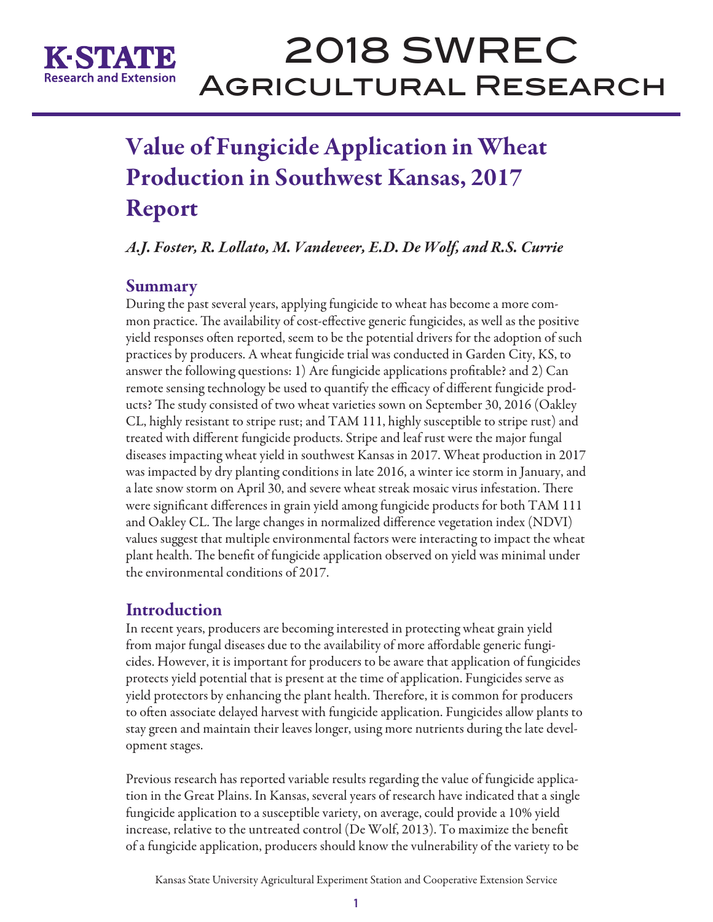

# 2018 SWREC Agricultural Research

# Value of Fungicide Application in Wheat Production in Southwest Kansas, 2017 Report

*A.J. Foster, R. Lollato, M. Vandeveer, E.D. De Wolf, and R.S. Currie* 

## Summary

During the past several years, applying fungicide to wheat has become a more common practice. The availability of cost-effective generic fungicides, as well as the positive yield responses often reported, seem to be the potential drivers for the adoption of such practices by producers. A wheat fungicide trial was conducted in Garden City, KS, to answer the following questions: 1) Are fungicide applications profitable? and 2) Can remote sensing technology be used to quantify the efficacy of different fungicide products? The study consisted of two wheat varieties sown on September 30, 2016 (Oakley CL, highly resistant to stripe rust; and TAM 111, highly susceptible to stripe rust) and treated with different fungicide products. Stripe and leaf rust were the major fungal diseases impacting wheat yield in southwest Kansas in 2017. Wheat production in 2017 was impacted by dry planting conditions in late 2016, a winter ice storm in January, and a late snow storm on April 30, and severe wheat streak mosaic virus infestation. There were significant differences in grain yield among fungicide products for both TAM 111 and Oakley CL. The large changes in normalized difference vegetation index (NDVI) values suggest that multiple environmental factors were interacting to impact the wheat plant health. The benefit of fungicide application observed on yield was minimal under the environmental conditions of 2017.

# Introduction

In recent years, producers are becoming interested in protecting wheat grain yield from major fungal diseases due to the availability of more affordable generic fungicides. However, it is important for producers to be aware that application of fungicides protects yield potential that is present at the time of application. Fungicides serve as yield protectors by enhancing the plant health. Therefore, it is common for producers to often associate delayed harvest with fungicide application. Fungicides allow plants to stay green and maintain their leaves longer, using more nutrients during the late development stages.

Previous research has reported variable results regarding the value of fungicide application in the Great Plains. In Kansas, several years of research have indicated that a single fungicide application to a susceptible variety, on average, could provide a 10% yield increase, relative to the untreated control (De Wolf, 2013). To maximize the benefit of a fungicide application, producers should know the vulnerability of the variety to be

Kansas State University Agricultural Experiment Station and Cooperative Extension Service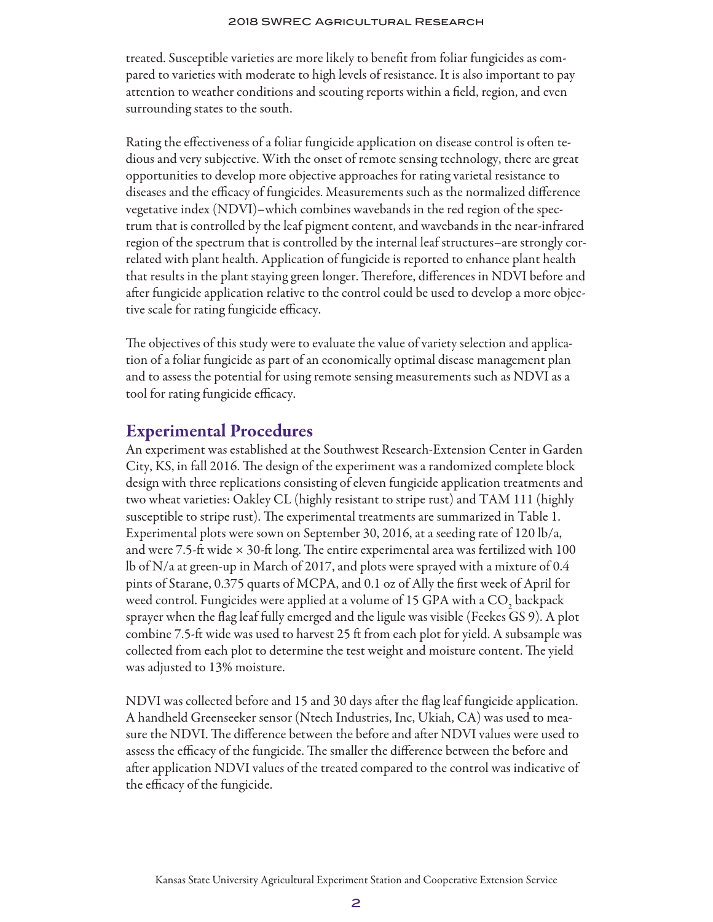treated. Susceptible varieties are more likely to benefit from foliar fungicides as compared to varieties with moderate to high levels of resistance. It is also important to pay attention to weather conditions and scouting reports within a field, region, and even surrounding states to the south.

Rating the effectiveness of a foliar fungicide application on disease control is often tedious and very subjective. With the onset of remote sensing technology, there are great opportunities to develop more objective approaches for rating varietal resistance to diseases and the efficacy of fungicides. Measurements such as the normalized difference vegetative index (NDVI)–which combines wavebands in the red region of the spectrum that is controlled by the leaf pigment content, and wavebands in the near-infrared region of the spectrum that is controlled by the internal leaf structures–are strongly correlated with plant health. Application of fungicide is reported to enhance plant health that results in the plant staying green longer. Therefore, differences in NDVI before and after fungicide application relative to the control could be used to develop a more objective scale for rating fungicide efficacy.

The objectives of this study were to evaluate the value of variety selection and application of a foliar fungicide as part of an economically optimal disease management plan and to assess the potential for using remote sensing measurements such as NDVI as a tool for rating fungicide efficacy.

## Experimental Procedures

An experiment was established at the Southwest Research-Extension Center in Garden City, KS, in fall 2016. The design of the experiment was a randomized complete block design with three replications consisting of eleven fungicide application treatments and two wheat varieties: Oakley CL (highly resistant to stripe rust) and TAM 111 (highly susceptible to stripe rust). The experimental treatments are summarized in Table 1. Experimental plots were sown on September 30, 2016, at a seeding rate of 120 lb/a, and were 7.5-ft wide  $\times$  30-ft long. The entire experimental area was fertilized with 100 lb of N/a at green-up in March of 2017, and plots were sprayed with a mixture of 0.4 pints of Starane, 0.375 quarts of MCPA, and 0.1 oz of Ally the first week of April for weed control. Fungicides were applied at a volume of 15 GPA with a CO<sub>2</sub> backpack sprayer when the flag leaf fully emerged and the ligule was visible (Feekes GS 9). A plot combine 7.5-ft wide was used to harvest 25 ft from each plot for yield. A subsample was collected from each plot to determine the test weight and moisture content. The yield was adjusted to 13% moisture.

NDVI was collected before and 15 and 30 days after the flag leaf fungicide application. A handheld Greenseeker sensor (Ntech Industries, Inc, Ukiah, CA) was used to measure the NDVI. The difference between the before and after NDVI values were used to assess the efficacy of the fungicide. The smaller the difference between the before and after application NDVI values of the treated compared to the control was indicative of the efficacy of the fungicide.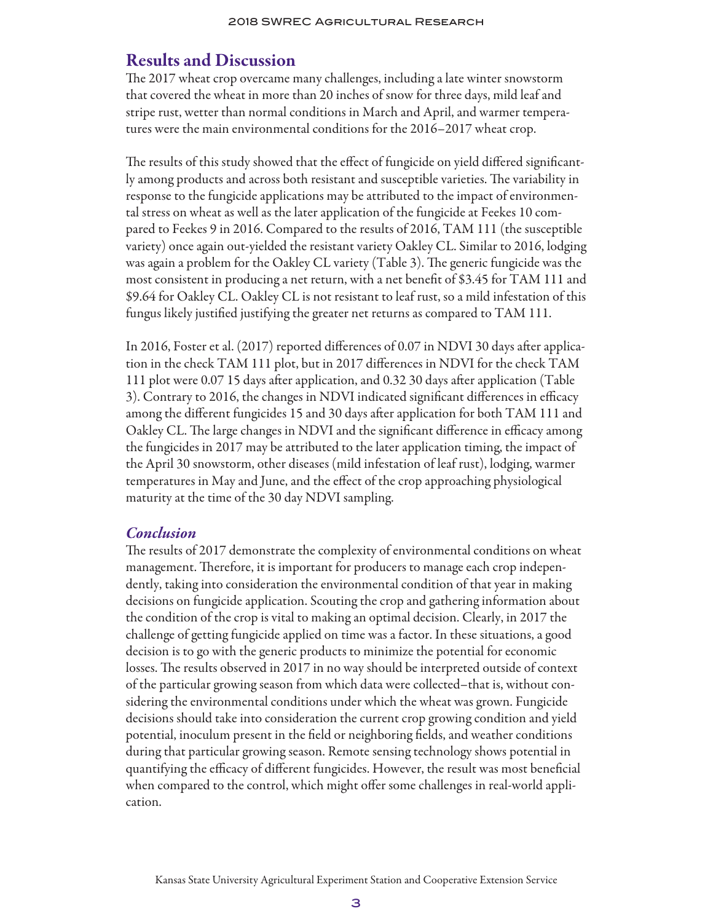### Results and Discussion

The 2017 wheat crop overcame many challenges, including a late winter snowstorm that covered the wheat in more than 20 inches of snow for three days, mild leaf and stripe rust, wetter than normal conditions in March and April, and warmer temperatures were the main environmental conditions for the 2016–2017 wheat crop.

The results of this study showed that the effect of fungicide on yield differed significantly among products and across both resistant and susceptible varieties. The variability in response to the fungicide applications may be attributed to the impact of environmental stress on wheat as well as the later application of the fungicide at Feekes 10 compared to Feekes 9 in 2016. Compared to the results of 2016, TAM 111 (the susceptible variety) once again out-yielded the resistant variety Oakley CL. Similar to 2016, lodging was again a problem for the Oakley CL variety (Table 3). The generic fungicide was the most consistent in producing a net return, with a net benefit of \$3.45 for TAM 111 and \$9.64 for Oakley CL. Oakley CL is not resistant to leaf rust, so a mild infestation of this fungus likely justified justifying the greater net returns as compared to TAM 111.

In 2016, Foster et al. (2017) reported differences of 0.07 in NDVI 30 days after application in the check TAM 111 plot, but in 2017 differences in NDVI for the check TAM 111 plot were 0.07 15 days after application, and 0.32 30 days after application (Table 3). Contrary to 2016, the changes in NDVI indicated significant differences in efficacy among the different fungicides 15 and 30 days after application for both TAM 111 and Oakley CL. The large changes in NDVI and the significant difference in efficacy among the fungicides in 2017 may be attributed to the later application timing, the impact of the April 30 snowstorm, other diseases (mild infestation of leaf rust), lodging, warmer temperatures in May and June, and the effect of the crop approaching physiological maturity at the time of the 30 day NDVI sampling.

### *Conclusion*

The results of 2017 demonstrate the complexity of environmental conditions on wheat management. Therefore, it is important for producers to manage each crop independently, taking into consideration the environmental condition of that year in making decisions on fungicide application. Scouting the crop and gathering information about the condition of the crop is vital to making an optimal decision. Clearly, in 2017 the challenge of getting fungicide applied on time was a factor. In these situations, a good decision is to go with the generic products to minimize the potential for economic losses. The results observed in 2017 in no way should be interpreted outside of context of the particular growing season from which data were collected–that is, without considering the environmental conditions under which the wheat was grown. Fungicide decisions should take into consideration the current crop growing condition and yield potential, inoculum present in the field or neighboring fields, and weather conditions during that particular growing season. Remote sensing technology shows potential in quantifying the efficacy of different fungicides. However, the result was most beneficial when compared to the control, which might offer some challenges in real-world application.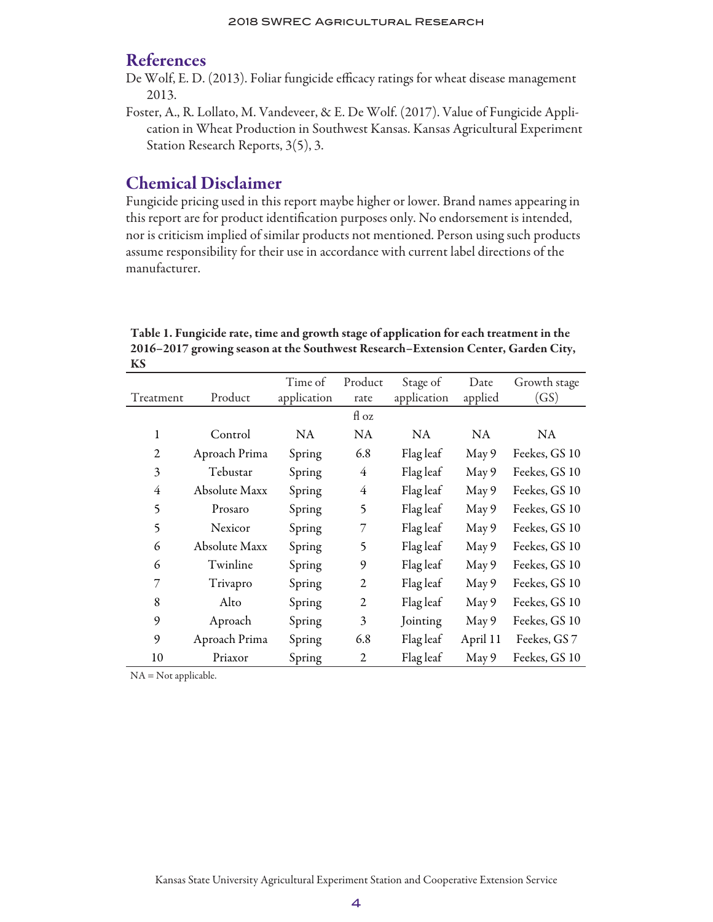### References

- De Wolf, E. D. (2013). Foliar fungicide efficacy ratings for wheat disease management 2013.
- Foster, A., R. Lollato, M. Vandeveer, & E. De Wolf. (2017). Value of Fungicide Application in Wheat Production in Southwest Kansas. Kansas Agricultural Experiment Station Research Reports, 3(5), 3.

### Chemical Disclaimer

Fungicide pricing used in this report maybe higher or lower. Brand names appearing in this report are for product identification purposes only. No endorsement is intended, nor is criticism implied of similar products not mentioned. Person using such products assume responsibility for their use in accordance with current label directions of the manufacturer.

Table 1. Fungicide rate, time and growth stage of application for each treatment in the 2016–2017 growing season at the Southwest Research–Extension Center, Garden City, KS

| Treatment      | Product       | Time of<br>application | Product<br>rate | Stage of<br>application | Date<br>applied | Growth stage<br>(GS) |  |
|----------------|---------------|------------------------|-----------------|-------------------------|-----------------|----------------------|--|
|                |               |                        | fl oz           |                         |                 |                      |  |
| 1              | Control       | <b>NA</b>              | <b>NA</b>       | <b>NA</b>               | <b>NA</b>       | NA.                  |  |
| $\mathfrak{2}$ | Aproach Prima | Spring                 | 6.8             | Flag leaf               | May 9           | Feekes, GS 10        |  |
| 3              | Tebustar      | Spring                 | 4               | Flag leaf               | May 9           | Feekes, GS 10        |  |
| 4              | Absolute Maxx | Spring                 | 4               | Flag leaf               | May 9           | Feekes, GS 10        |  |
| 5              | Prosaro       | Spring                 | 5               | Flag leaf               | May 9           | Feekes, GS 10        |  |
| 5              | Nexicor       | Spring                 | 7               | Flag leaf               | May 9           | Feekes, GS 10        |  |
| 6              | Absolute Maxx | Spring                 | 5               | Flag leaf               | May 9           | Feekes, GS 10        |  |
| 6              | Twinline      | Spring                 | 9               | Flag leaf               | May 9           | Feekes, GS 10        |  |
| 7              | Trivapro      | Spring                 | $\overline{2}$  | Flag leaf               | May 9           | Feekes, GS 10        |  |
| 8              | Alto          | Spring                 | $\overline{2}$  | Flag leaf               | May 9           | Feekes, GS 10        |  |
| 9              | Aproach       | Spring                 | 3               | Jointing                | May 9           | Feekes, GS 10        |  |
| 9              | Aproach Prima | Spring                 | 6.8             | Flag leaf               | April 11        | Feekes, GS 7         |  |
| 10             | Priaxor       | Spring                 | $\overline{2}$  | Flag leaf               | May 9           | Feekes, GS 10        |  |

NA = Not applicable.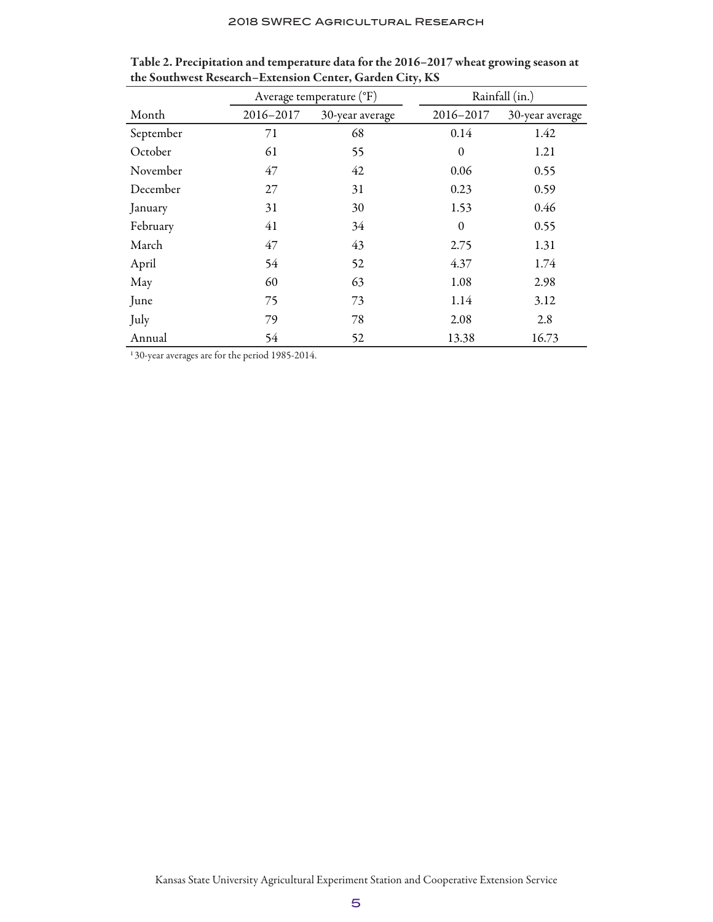|           |           | Average temperature (°F) | Rainfall (in.) |                 |  |  |
|-----------|-----------|--------------------------|----------------|-----------------|--|--|
| Month     | 2016-2017 | 30-year average          | 2016-2017      | 30-year average |  |  |
| September | 71        | 68                       | 0.14           | 1.42            |  |  |
| October   | 61        | 55                       | $\theta$       | 1.21            |  |  |
| November  | 47        | 42                       | 0.06           | 0.55            |  |  |
| December  | 27        | 31                       | 0.23           | 0.59            |  |  |
| January   | 31        | 30                       | 1.53           | 0.46            |  |  |
| February  | 41        | 34                       | $\mathbf{0}$   | 0.55            |  |  |
| March     | 47        | 43                       | 2.75           | 1.31            |  |  |
| April     | 54        | 52                       | 4.37           | 1.74            |  |  |
| May       | 60        | 63                       | 1.08           | 2.98            |  |  |
| June      | 75        | 73                       | 1.14           | 3.12            |  |  |
| July      | 79        | 78                       | 2.08           | 2.8             |  |  |
| Annual    | 54        | 52                       | 13.38          | 16.73           |  |  |

Table 2. Precipitation and temperature data for the 2016–2017 wheat growing season at the Southwest Research–Extension Center, Garden City, KS

1 30-year averages are for the period 1985-2014.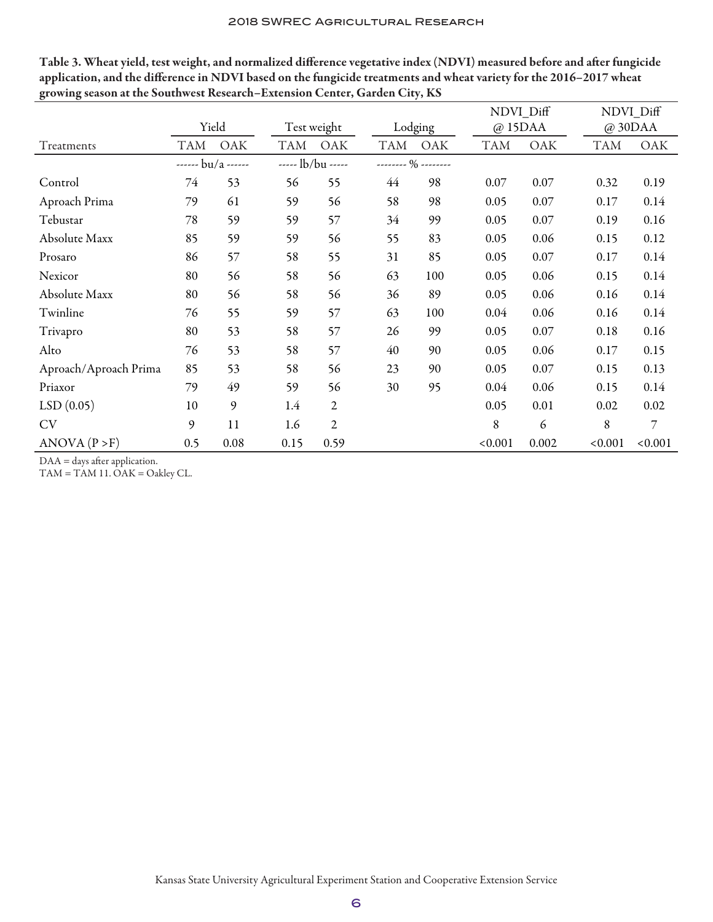|                       | Yield            |      |            | Test weight       |            | Lodging                |            | NDVI_Diff<br>@15 <sub>DAA</sub> |            | NDVI_Diff<br>@30DAA |  |
|-----------------------|------------------|------|------------|-------------------|------------|------------------------|------------|---------------------------------|------------|---------------------|--|
| Treatments            | TAM              | OAK  | <b>TAM</b> | OAK               | <b>TAM</b> | OAK                    | <b>TAM</b> | OAK                             | <b>TAM</b> | OAK                 |  |
|                       | $---$ bu/a $---$ |      |            | $--- lb/bu$ $---$ |            | -------- $\%$ -------- |            |                                 |            |                     |  |
| Control               | 74               | 53   | 56         | 55                | 44         | 98                     | 0.07       | 0.07                            | 0.32       | 0.19                |  |
| Aproach Prima         | 79               | 61   | 59         | 56                | 58         | 98                     | 0.05       | 0.07                            | 0.17       | 0.14                |  |
| Tebustar              | 78               | 59   | 59         | 57                | 34         | 99                     | 0.05       | 0.07                            | 0.19       | 0.16                |  |
| Absolute Maxx         | 85               | 59   | 59         | 56                | 55         | 83                     | 0.05       | 0.06                            | 0.15       | 0.12                |  |
| Prosaro               | 86               | 57   | 58         | 55                | 31         | 85                     | 0.05       | 0.07                            | 0.17       | 0.14                |  |
| Nexicor               | 80               | 56   | 58         | 56                | 63         | 100                    | 0.05       | 0.06                            | 0.15       | 0.14                |  |
| Absolute Maxx         | 80               | 56   | 58         | 56                | 36         | 89                     | 0.05       | 0.06                            | 0.16       | 0.14                |  |
| Twinline              | 76               | 55   | 59         | 57                | 63         | 100                    | 0.04       | 0.06                            | 0.16       | 0.14                |  |
| Trivapro              | 80               | 53   | 58         | 57                | 26         | 99                     | 0.05       | 0.07                            | 0.18       | 0.16                |  |
| Alto                  | 76               | 53   | 58         | 57                | 40         | 90                     | 0.05       | 0.06                            | 0.17       | 0.15                |  |
| Aproach/Aproach Prima | 85               | 53   | 58         | 56                | 23         | 90                     | 0.05       | 0.07                            | 0.15       | 0.13                |  |
| Priaxor               | 79               | 49   | 59         | 56                | 30         | 95                     | 0.04       | 0.06                            | 0.15       | 0.14                |  |
| LSD(0.05)             | 10               | 9    | 1.4        | $\overline{2}$    |            |                        | 0.05       | 0.01                            | 0.02       | 0.02                |  |
| <b>CV</b>             | 9                | 11   | 1.6        | $\overline{2}$    |            |                        | 8          | 6                               | 8          | 7                   |  |
| ANOVA (P > F)         | 0.5              | 0.08 | 0.15       | 0.59              |            |                        | < 0.001    | 0.002                           | < 0.001    | < 0.001             |  |

Table 3. Wheat yield, test weight, and normalized difference vegetative index (NDVI) measured before and after fungicide application, and the difference in NDVI based on the fungicide treatments and wheat variety for the 2016–2017 wheat growing season at the Southwest Research–Extension Center, Garden City, KS

DAA = days after application.

TAM = TAM 11. OAK = Oakley CL.